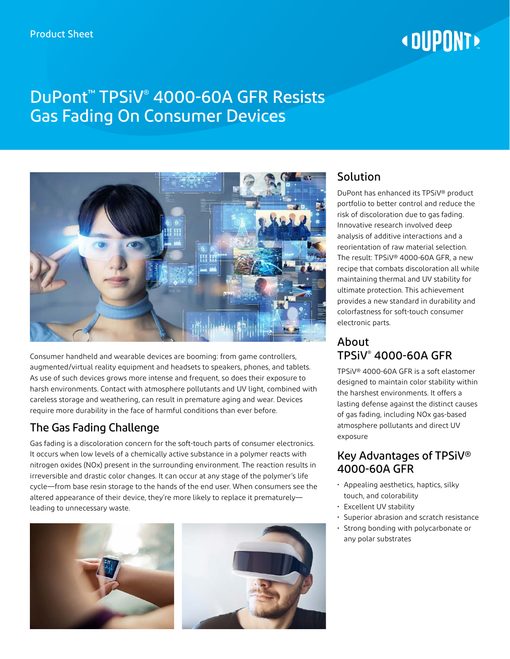# **«DUPONT»**

# DuPont™ TPSiV® 4000-60A GFR Resists Gas Fading On Consumer Devices



Consumer handheld and wearable devices are booming: from game controllers, augmented/virtual reality equipment and headsets to speakers, phones, and tablets. As use of such devices grows more intense and frequent, so does their exposure to harsh environments. Contact with atmosphere pollutants and UV light, combined with careless storage and weathering, can result in premature aging and wear. Devices require more durability in the face of harmful conditions than ever before.

## The Gas Fading Challenge

Gas fading is a discoloration concern for the soft-touch parts of consumer electronics. It occurs when low levels of a chemically active substance in a polymer reacts with nitrogen oxides (NOx) present in the surrounding environment. The reaction results in irreversible and drastic color changes. It can occur at any stage of the polymer's life cycle—from base resin storage to the hands of the end user. When consumers see the altered appearance of their device, they're more likely to replace it prematurely leading to unnecessary waste.





## **Solution**

DuPont has enhanced its TPSiV® product portfolio to better control and reduce the risk of discoloration due to gas fading. Innovative research involved deep analysis of additive interactions and a reorientation of raw material selection. The result: TPSiV® 4000-60A GFR, a new recipe that combats discoloration all while maintaining thermal and UV stability for ultimate protection. This achievement provides a new standard in durability and colorfastness for soft-touch consumer electronic parts.

#### About TPSiV® 4000-60A GFR

TPSiV® 4000-60A GFR is a soft elastomer designed to maintain color stability within the harshest environments. It offers a lasting defense against the distinct causes of gas fading, including NOx gas-based atmosphere pollutants and direct UV exposure

#### Key Advantages of TPSiV® 4000-60A GFR

- Appealing aesthetics, haptics, silky touch, and colorability
- Excellent UV stability
- Superior abrasion and scratch resistance
- Strong bonding with polycarbonate or any polar substrates